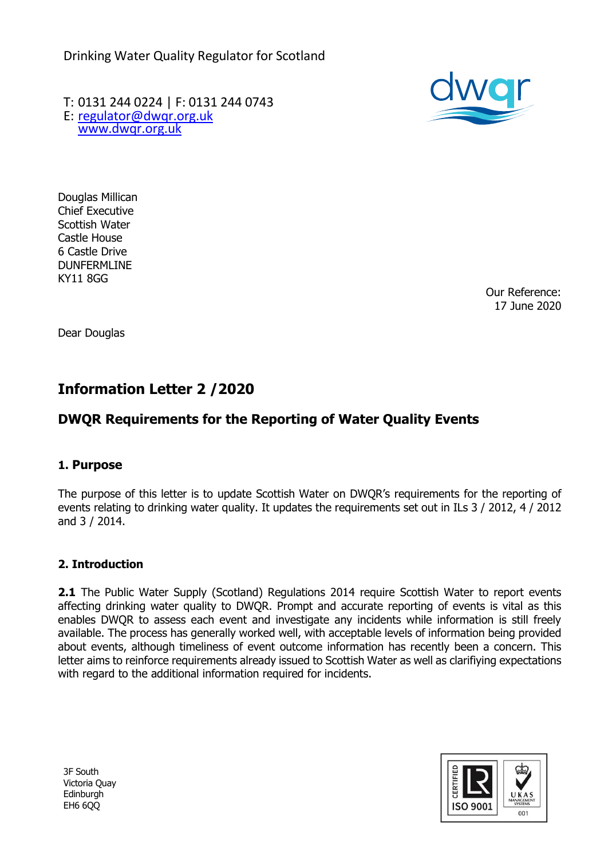Drinking Water Quality Regulator for Scotland

T: 0131 244 0224 | F: 0131 244 0743 E: [regulator@dwqr.org.uk](mailto:regulator@dwqr.org.uk)  [www.dwqr.org.uk](http://www.dwqr.org.uk/)



Douglas Millican Chief Executive Scottish Water Castle House 6 Castle Drive DUNFERMLINE KY11 8GG

Our Reference: 17 June 2020

Dear Douglas

# **Information Letter 2 /2020**

# **DWQR Requirements for the Reporting of Water Quality Events**

# **1. Purpose**

The purpose of this letter is to update Scottish Water on DWQR's requirements for the reporting of events relating to drinking water quality. It updates the requirements set out in ILs 3 / 2012, 4 / 2012 and 3 / 2014.

# **2. Introduction**

**2.1** The Public Water Supply (Scotland) Regulations 2014 require Scottish Water to report events affecting drinking water quality to DWQR. Prompt and accurate reporting of events is vital as this enables DWQR to assess each event and investigate any incidents while information is still freely available. The process has generally worked well, with acceptable levels of information being provided about events, although timeliness of event outcome information has recently been a concern. This letter aims to reinforce requirements already issued to Scottish Water as well as clarifiying expectations with regard to the additional information required for incidents.



3F South Victoria Quay Edinburgh EH6 6QQ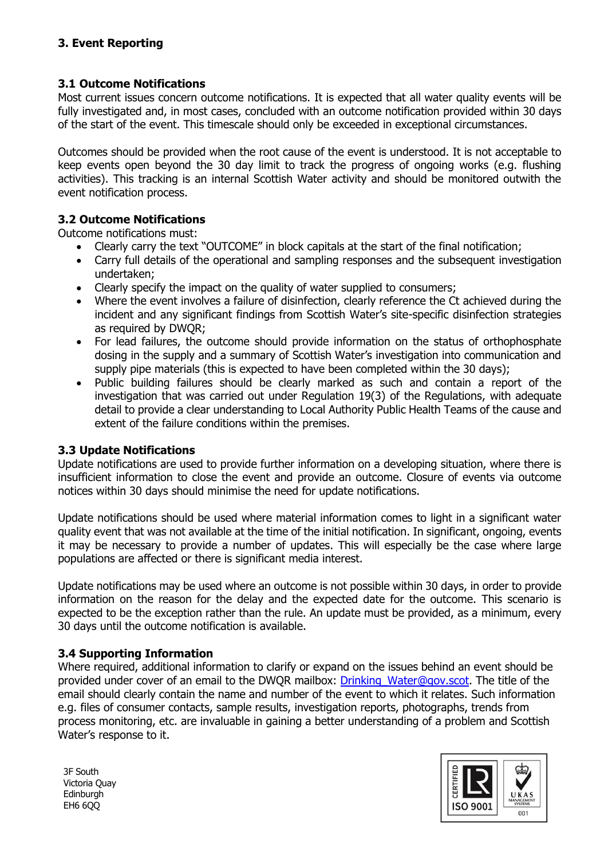#### **3.1 Outcome Notifications**

Most current issues concern outcome notifications. It is expected that all water quality events will be fully investigated and, in most cases, concluded with an outcome notification provided within 30 days of the start of the event. This timescale should only be exceeded in exceptional circumstances.

Outcomes should be provided when the root cause of the event is understood. It is not acceptable to keep events open beyond the 30 day limit to track the progress of ongoing works (e.g. flushing activities). This tracking is an internal Scottish Water activity and should be monitored outwith the event notification process.

#### **3.2 Outcome Notifications**

Outcome notifications must:

- Clearly carry the text "OUTCOME" in block capitals at the start of the final notification;
- Carry full details of the operational and sampling responses and the subsequent investigation undertaken;
- Clearly specify the impact on the quality of water supplied to consumers;
- Where the event involves a failure of disinfection, clearly reference the Ct achieved during the incident and any significant findings from Scottish Water's site-specific disinfection strategies as required by DWQR;
- For lead failures, the outcome should provide information on the status of orthophosphate dosing in the supply and a summary of Scottish Water's investigation into communication and supply pipe materials (this is expected to have been completed within the 30 days);
- Public building failures should be clearly marked as such and contain a report of the investigation that was carried out under Regulation 19(3) of the Regulations, with adequate detail to provide a clear understanding to Local Authority Public Health Teams of the cause and extent of the failure conditions within the premises.

#### **3.3 Update Notifications**

Update notifications are used to provide further information on a developing situation, where there is insufficient information to close the event and provide an outcome. Closure of events via outcome notices within 30 days should minimise the need for update notifications.

Update notifications should be used where material information comes to light in a significant water quality event that was not available at the time of the initial notification. In significant, ongoing, events it may be necessary to provide a number of updates. This will especially be the case where large populations are affected or there is significant media interest.

Update notifications may be used where an outcome is not possible within 30 days, in order to provide information on the reason for the delay and the expected date for the outcome. This scenario is expected to be the exception rather than the rule. An update must be provided, as a minimum, every 30 days until the outcome notification is available.

#### **3.4 Supporting Information**

Where required, additional information to clarify or expand on the issues behind an event should be provided under cover of an email to the DWQR mailbox: Drinking Water@gov.scot. The title of the email should clearly contain the name and number of the event to which it relates. Such information e.g. files of consumer contacts, sample results, investigation reports, photographs, trends from process monitoring, etc. are invaluable in gaining a better understanding of a problem and Scottish Water's response to it.

3F South Victoria Quay Edinburgh EH6 6QQ